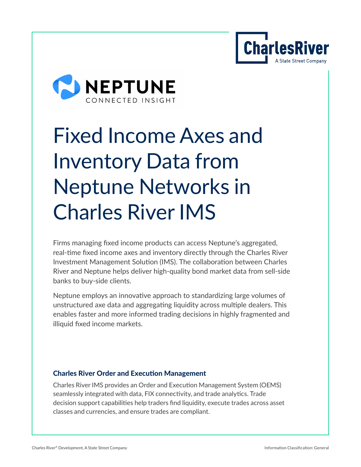



# Fixed Income Axes and Inventory Data from Neptune Networks in Charles River IMS

Firms managing fixed income products can access Neptune's aggregated, real-time fixed income axes and inventory directly through the Charles River Investment Management Solution (IMS). The collaboration between Charles River and Neptune helps deliver high-quality bond market data from sell-side banks to buy-side clients.

Neptune employs an innovative approach to standardizing large volumes of unstructured axe data and aggregating liquidity across multiple dealers. This enables faster and more informed trading decisions in highly fragmented and illiquid fixed income markets.

### Charles River Order and Execution Management

Charles River IMS provides an Order and Execution Management System (OEMS) seamlessly integrated with data, FIX connectivity, and trade analytics. Trade decision support capabilities help traders find liquidity, execute trades across asset classes and currencies, and ensure trades are compliant.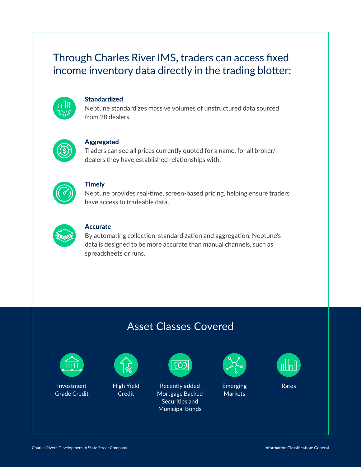## Through Charles River IMS, traders can access fixed income inventory data directly in the trading blotter:



#### **Standardized**

Neptune standardizes massive volumes of unstructured data sourced from 28 dealers.



#### Aggregated

Traders can see all prices currently quoted for a name, for all broker/ dealers they have established relationships with.



#### **Timely**

Neptune provides real-time, screen-based pricing, helping ensure traders have access to tradeable data.



#### **Accurate**

By automating collection, standardization and aggregation, Neptune's data is designed to be more accurate than manual channels, such as spreadsheets or runs.

## Asset Classes Covered



Investment Grade Credit



High Yield Credit



Recently added Mortgage Backed Securities and Municipal Bonds

| <b>Service Service</b> |  |
|------------------------|--|
|                        |  |
|                        |  |

**Emerging** Markets



Rates